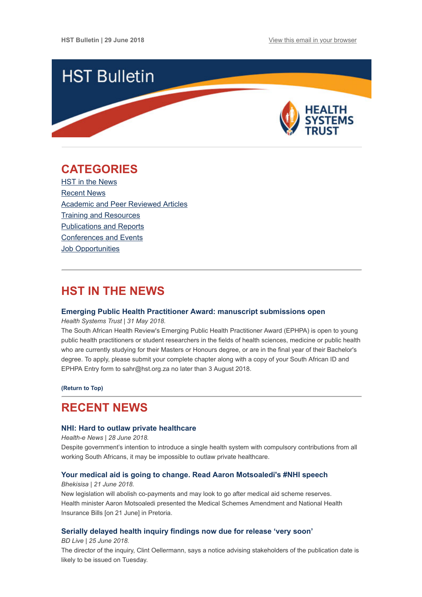

# <span id="page-0-1"></span>**CATEGORIES**

HST in the News [Recent News](#page-0-0) [Academic and Peer Reviewed Articles](#page-1-0) [Training and Resources](#page-2-0) [Publications and Reports](#page-3-0) [Conferences and Events](#page-3-1) **Job Opportunities** 

# **HST IN THE NEWS**

### **[Emerging Public Health Practitioner Award: manuscript submissions open](http://www.hst.org.za/publications/Pages/2018-Emerging-Public-Health-Practitioner-Award.aspx)**

*Health Systems Trust | 31 May 2018.*

The South African Health Review's Emerging Public Health Practitioner Award (EPHPA) is open to young public health practitioners or student researchers in the fields of health sciences, medicine or public health who are currently studying for their Masters or Honours degree, or are in the final year of their Bachelor's degree. To apply, please submit your complete chapter along with a copy of your South African ID and EPHPA Entry form to sahr@hst.org.za no later than 3 August 2018.

**[\(Return to Top\)](#page-0-1)**

# <span id="page-0-0"></span>**RECENT NEWS**

### **[NHI: Hard to outlaw private healthcare](https://www.health-e.org.za/2018/06/28/nhi-hard-to-outlaw-private-healthcare/)**

*Health-e News | 28 June 2018.*

Despite government's intention to introduce a single health system with compulsory contributions from all working South Africans, it may be impossible to outlaw private healthcare.

## **[Your medical aid is going to change. Read Aaron Motsoaledi's #NHI speech](http://bhekisisa.org/article/2018-06-21-read-motsoaledis-speech-announcing-major-changes-to-medical-aids)**

*Bhekisisa | 21 June 2018.*

New legislation will abolish co-payments and may look to go after medical aid scheme reserves. Health minister Aaron Motsoaledi presented the Medical Schemes Amendment and National Health Insurance Bills [on 21 June] in Pretoria.

## **[Serially delayed health inquiry findings now due for release 'very soon'](https://www.businesslive.co.za/bd/national/health/2018-06-25-serially-delayed-health-inquiry-findings-now-due-for-release-very-soon/)**

*BD Live | 25 June 2018.*

The director of the inquiry, Clint Oellermann, says a notice advising stakeholders of the publication date is likely to be issued on Tuesday.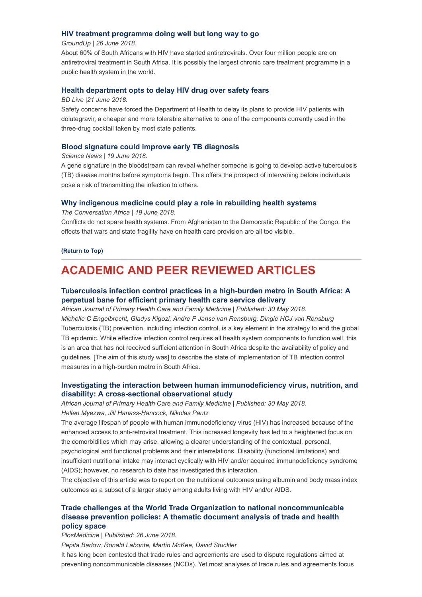## **[HIV treatment programme doing well but long way to go](https://www.groundup.org.za/article/hiv-treatment-programme-doing-well-long-way-go/)**

### *GroundUp | 26 June 2018.*

About 60% of South Africans with HIV have started antiretrovirals. Over four million people are on antiretroviral treatment in South Africa. It is possibly the largest chronic care treatment programme in a public health system in the world.

### **[Health department opts to delay HIV drug over safety fears](https://www.businesslive.co.za/bd/national/health/2018-06-21-health-department-opts-to-delay-hiv-drug-over-safety-fears/)**

### *BD Live |21 June 2018.*

Safety concerns have forced the Department of Health to delay its plans to provide HIV patients with dolutegravir, a cheaper and more tolerable alternative to one of the components currently used in the three-drug cocktail taken by most state patients.

### **[Blood signature could improve early TB diagnosis](https://www.sciencedaily.com/releases/2018/06/180619122732.htm?utm_source=Global+Health+NOW+Main+List&utm_campaign=f4331bafaf-EMAIL_CAMPAIGN_2018_06_21_12_58&utm_medium=email&utm_term=0_8d0d062dbd-f4331bafaf-2811001)**

#### *Science News | 19 June 2018.*

A gene signature in the bloodstream can reveal whether someone is going to develop active tuberculosis (TB) disease months before symptoms begin. This offers the prospect of intervening before individuals pose a risk of transmitting the infection to others.

## **[Why indigenous medicine could play a role in rebuilding health systems](https://theconversation.com/why-indigenous-medicine-could-play-a-role-in-rebuilding-health-systems-97957)**

*The Conversation Africa | 19 June 2018.*

Conflicts do not spare health systems. From Afghanistan to the Democratic Republic of the Congo, the effects that wars and state fragility have on health care provision are all too visible.

### **[\(Return to Top\)](#page-0-1)**

# <span id="page-1-0"></span>**ACADEMIC AND PEER REVIEWED ARTICLES**

## **[Tuberculosis infection control practices in a high-burden metro in South Africa: A](https://phcfm.org/index.php/phcfm/article/view/1628/2578) perpetual bane for efficient primary health care service delivery**

*African Journal of Primary Health Care and Family Medicine | Published: 30 May 2018. Michelle C Engelbrecht, Gladys Kigozi, Andre P Janse van Rensburg, Dingie HCJ van Rensburg* Tuberculosis (TB) prevention, including infection control, is a key element in the strategy to end the global TB epidemic. While effective infection control requires all health system components to function well, this is an area that has not received sufficient attention in South Africa despite the availability of policy and guidelines. [The aim of this study was] to describe the state of implementation of TB infection control measures in a high-burden metro in South Africa.

## **[Investigating the interaction between human immunodeficiency virus, nutrition, and](https://phcfm.org/index.php/phcfm/article/view/1663/2696) disability: A cross-sectional observational study**

*African Journal of Primary Health Care and Family Medicine | Published: 30 May 2018.*

## *Hellen Myezwa, Jill Hanass-Hancock, Nikolas Pautz*

The average lifespan of people with human immunodeficiency virus (HIV) has increased because of the enhanced access to anti-retroviral treatment. This increased longevity has led to a heightened focus on the comorbidities which may arise, allowing a clearer understanding of the contextual, personal, psychological and functional problems and their interrelations. Disability (functional limitations) and insufficient nutritional intake may interact cyclically with HIV and/or acquired immunodeficiency syndrome (AIDS); however, no research to date has investigated this interaction.

The objective of this article was to report on the nutritional outcomes using albumin and body mass index outcomes as a subset of a larger study among adults living with HIV and/or AIDS.

## **[Trade challenges at the World Trade Organization to national noncommunicable](http://journals.plos.org/plosmedicine/article?id=10.1371/journal.pmed.1002590) disease prevention policies: A thematic document analysis of trade and health policy space**

*PlosMedicine | Published: 26 June 2018.*

*Pepita Barlow, Ronald Labonte, Martin McKee, David Stuckler*

It has long been contested that trade rules and agreements are used to dispute regulations aimed at preventing noncommunicable diseases (NCDs). Yet most analyses of trade rules and agreements focus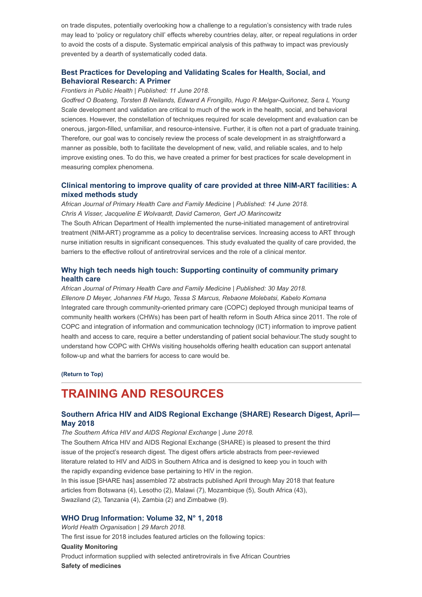on trade disputes, potentially overlooking how a challenge to a regulation's consistency with trade rules may lead to 'policy or regulatory chill' effects whereby countries delay, alter, or repeal regulations in order to avoid the costs of a dispute. Systematic empirical analysis of this pathway to impact was previously prevented by a dearth of systematically coded data.

## **[Best Practices for Developing and Validating Scales for Health, Social, and](https://www.frontiersin.org/articles/10.3389/fpubh.2018.00149/full) Behavioral Research: A Primer**

### *Frontiers in Public Health | Published: 11 June 2018.*

*Godfred O Boateng, Torsten B Neilands, Edward A Frongillo, Hugo R Melgar-Quiñonez, Sera L Young* Scale development and validation are critical to much of the work in the health, social, and behavioral sciences. However, the constellation of techniques required for scale development and evaluation can be onerous, jargon-filled, unfamiliar, and resource-intensive. Further, it is often not a part of graduate training. Therefore, our goal was to concisely review the process of scale development in as straightforward a manner as possible, both to facilitate the development of new, valid, and reliable scales, and to help improve existing ones. To do this, we have created a primer for best practices for scale development in measuring complex phenomena.

## **[Clinical mentoring to improve quality of care provided at three NIM-ART facilities: A](https://phcfm.org/index.php/phcfm/article/view/1579/2657) mixed methods study**

*African Journal of Primary Health Care and Family Medicine | Published: 14 June 2018. Chris A Visser, Jacqueline E Wolvaardt, David Cameron, Gert JO Marincowitz* The South African Department of Health implemented the nurse-initiated management of antiretroviral treatment (NIM-ART) programme as a policy to decentralise services. Increasing access to ART through nurse initiation results in significant consequences. This study evaluated the quality of care provided, the barriers to the effective rollout of antiretroviral services and the role of a clinical mentor.

## **[Why high tech needs high touch: Supporting continuity of community primary](https://phcfm.org/index.php/phcfm/article/view/1616/2715) health care**

*African Journal of Primary Health Care and Family Medicine | Published: 30 May 2018. Ellenore D Meyer, Johannes FM Hugo, Tessa S Marcus, Rebaone Molebatsi, Kabelo Komana* Integrated care through community-oriented primary care (COPC) deployed through municipal teams of community health workers (CHWs) has been part of health reform in South Africa since 2011. The role of COPC and integration of information and communication technology (ICT) information to improve patient health and access to care, require a better understanding of patient social behaviour.The study sought to understand how COPC with CHWs visiting households offering health education can support antenatal follow-up and what the barriers for access to care would be.

**[\(Return to Top\)](#page-0-1)**

# <span id="page-2-0"></span>**TRAINING AND RESOURCES**

## **[Southern Africa HIV and AIDS Regional Exchange \(SHARE\) Research Digest, April—](https://www.hivsharespace.net/sites/default/files/SHARE%20research%20digest_April-May2018.pdf) May 2018**

*The Southern Africa HIV and AIDS Regional Exchange | June 2018.* The Southern Africa HIV and AIDS Regional Exchange (SHARE) is pleased to present the third issue of the project's research digest. The digest offers article abstracts from peer-reviewed literature related to HIV and AIDS in Southern Africa and is designed to keep you in touch with the rapidly expanding evidence base pertaining to HIV in the region. In this issue [SHARE has] assembled 72 abstracts published April through May 2018 that feature articles from Botswana (4), Lesotho (2), Malawi (7), Mozambique (5), South Africa (43), Swaziland (2), Tanzania (4), Zambia (2) and Zimbabwe (9).

## **[WHO Drug Information: Volume 32, N° 1, 2018](http://www.who.int/medicines/publications/druginformation/issues/WHO_DI_32-1.pdf?ua=1)**

*World Health Organisation | 29 March 2018.* The first issue for 2018 includes featured articles on the following topics: **Quality Monitoring** Product information supplied with selected antiretrovirals in five African Countries **Safety of medicines**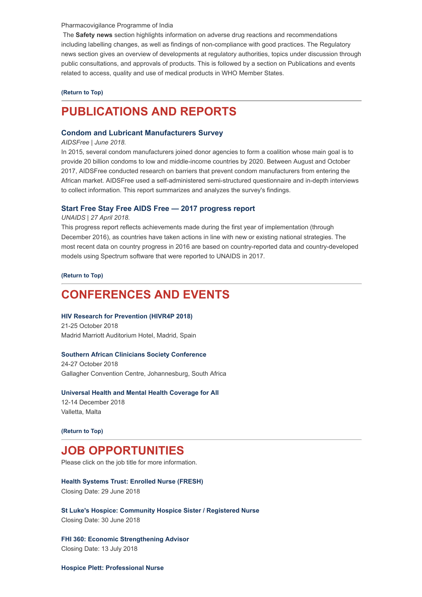#### Pharmacovigilance Programme of India

The **Safety news** section highlights information on adverse drug reactions and recommendations including labelling changes, as well as findings of non-compliance with good practices. The Regulatory news section gives an overview of developments at regulatory authorities, topics under discussion through public consultations, and approvals of products. This is followed by a section on Publications and events related to access, quality and use of medical products in WHO Member States.

#### **[\(Return to Top\)](#page-0-1)**

# <span id="page-3-0"></span>**PUBLICATIONS AND REPORTS**

### **[Condom and Lubricant Manufacturers Survey](https://aidsfree.usaid.gov/sites/default/files/2018.6.6_aidsfree-con-manu-survey-rep_tagged.pdf)**

#### *AIDSFree | June 2018.*

In 2015, several condom manufacturers joined donor agencies to form a coalition whose main goal is to provide 20 billion condoms to low and middle-income countries by 2020. Between August and October 2017, AIDSFree conducted research on barriers that prevent condom manufacturers from entering the African market. AIDSFree used a self-administered semi-structured questionnaire and in-depth interviews to collect information. This report summarizes and analyzes the survey's findings.

### **[Start Free Stay Free AIDS Free — 2017 progress report](http://www.unaids.org/sites/default/files/media_asset/JC2923_SFSFAF_2017progressreport_en.pdf)**

#### *UNAIDS | 27 April 2018.*

This progress report reflects achievements made during the first year of implementation (through December 2016), as countries have taken actions in line with new or existing national strategies. The most recent data on country progress in 2016 are based on country-reported data and country-developed models using Spectrum software that were reported to UNAIDS in 2017.

**[\(Return to Top\)](#page-0-1)**

# <span id="page-3-1"></span>**CONFERENCES AND EVENTS**

#### **[HIV Research for Prevention \(HIVR4P 2018\)](http://www.hivr4p.org/)**

21-25 October 2018 Madrid Marriott Auditorium Hotel, Madrid, Spain

#### **[Southern African Clinicians Society Conference](http://www.sahivsoc2018.co.za/)**

24-27 October 2018 Gallagher Convention Centre, Johannesburg, South Africa

#### **[Universal Health and Mental Health Coverage for All](http://www.uhmhcongress2018.net/)**

12-14 December 2018 Valletta, Malta

## **[\(Return to Top\)](#page-0-1)**

# **JOB OPPORTUNITIES**

Please click on the job title for more information.

#### **[Health Systems Trust: Enrolled Nurse \(FRESH\)](http://www.hst.org.za/Pages/Females-Rising-through-Education,-Support-and-Health-(FRESH)-Enrolled-Nurse.aspx)**

Closing Date: 29 June 2018

**[St Luke's Hospice: Community Hospice Sister / Registered Nurse](http://www.ngopulse.org/opportunity/2018/06/13/community-hospice-sister-registered-nurse)** Closing Date: 30 June 2018

**[FHI 360: Economic Strengthening Advisor](http://www.ngopulse.org/opportunity/2018/05/11/fhi-360-economic-strengthening-advisor)** Closing Date: 13 July 2018

**[Hospice Plett: Professional Nurse](http://www.ngopulse.org/opportunity/2018/06/22/professional-nurse)**